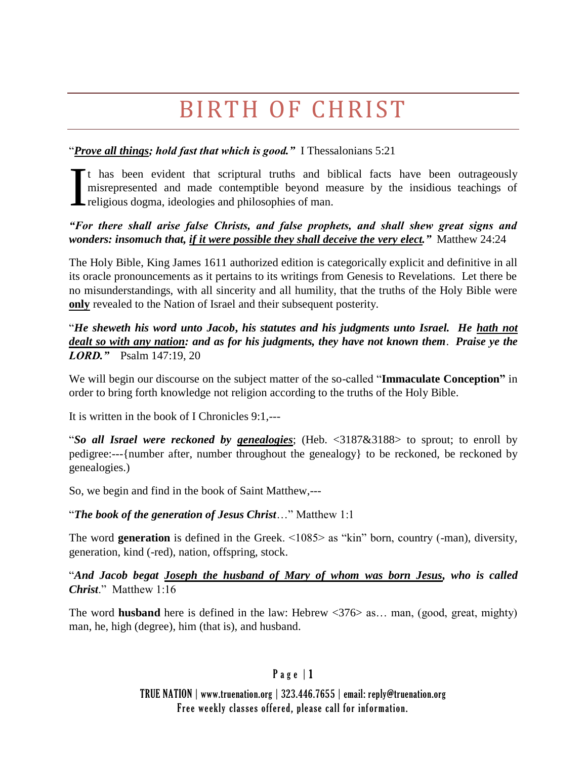# BIRTH OF CHRIST

### "*Prove all things; hold fast that which is good."* I Thessalonians 5:21

It has been evident that scriptural truths and biblical facts have been outrageously misrepresented and made contemptible beyond measure by the insidious teachings of religious dogma, ideologies and philosophies of man. I

#### *"For there shall arise false Christs, and false prophets, and shall shew great signs and wonders: insomuch that, if it were possible they shall deceive the very elect."* Matthew 24:24

The Holy Bible, King James 1611 authorized edition is categorically explicit and definitive in all its oracle pronouncements as it pertains to its writings from Genesis to Revelations. Let there be no misunderstandings, with all sincerity and all humility, that the truths of the Holy Bible were **only** revealed to the Nation of Israel and their subsequent posterity.

"*He sheweth his word unto Jacob***,** *his statutes and his judgments unto Israel. He hath not dealt so with any nation: and as for his judgments, they have not known them*. *Praise ye the LORD."* Psalm 147:19, 20

We will begin our discourse on the subject matter of the so-called "**Immaculate Conception"** in order to bring forth knowledge not religion according to the truths of the Holy Bible.

It is written in the book of I Chronicles 9:1,---

"*So all Israel were reckoned by genealogies*; (Heb. <3187&3188> to sprout; to enroll by pedigree:---{number after, number throughout the genealogy} to be reckoned, be reckoned by genealogies.)

So, we begin and find in the book of Saint Matthew,---

"*The book of the generation of Jesus Christ*…" Matthew 1:1

The word **generation** is defined in the Greek. <1085> as "kin" born, country (-man), diversity, generation, kind (-red), nation, offspring, stock.

"*And Jacob begat Joseph the husband of Mary of whom was born Jesus, who is called Christ*." Matthew 1:16

The word **husband** here is defined in the law: Hebrew <376> as… man, (good, great, mighty) man, he, high (degree), him (that is), and husband.

## P a g e | 1

## TRUE NATION | www.truenation.org | 323.446.7655 | email: reply@truenation.org Free weekly classes offered, please call for information.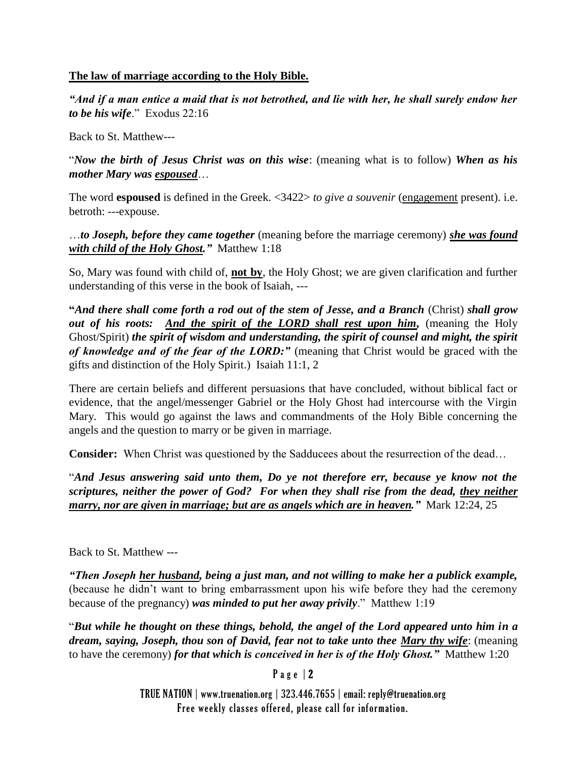#### **The law of marriage according to the Holy Bible.**

*"And if a man entice a maid that is not betrothed, and lie with her, he shall surely endow her to be his wife*." Exodus 22:16

Back to St. Matthew---

"*Now the birth of Jesus Christ was on this wise*: (meaning what is to follow) *When as his mother Mary was espoused*…

The word **espoused** is defined in the Greek. <3422> *to give a souvenir* (engagement present). i.e. betroth: ---expouse.

…*to Joseph, before they came together* (meaning before the marriage ceremony) *she was found with child of the Holy Ghost."* Matthew 1:18

So, Mary was found with child of, **not by**, the Holy Ghost; we are given clarification and further understanding of this verse in the book of Isaiah, ---

**"***And there shall come forth a rod out of the stem of Jesse, and a Branch* (Christ) *shall grow out of his roots: And the spirit of the LORD shall rest upon him,* (meaning the Holy Ghost/Spirit) *the spirit of wisdom and understanding, the spirit of counsel and might, the spirit of knowledge and of the fear of the LORD:"* (meaning that Christ would be graced with the gifts and distinction of the Holy Spirit.) Isaiah 11:1, 2

There are certain beliefs and different persuasions that have concluded, without biblical fact or evidence, that the angel/messenger Gabriel or the Holy Ghost had intercourse with the Virgin Mary. This would go against the laws and commandments of the Holy Bible concerning the angels and the question to marry or be given in marriage.

**Consider:** When Christ was questioned by the Sadducees about the resurrection of the dead…

"*And Jesus answering said unto them, Do ye not therefore err, because ye know not the scriptures, neither the power of God? For when they shall rise from the dead, they neither marry, nor are given in marriage; but are as angels which are in heaven."* Mark 12:24, 25

Back to St. Matthew ---

*"Then Joseph her husband, being a just man, and not willing to make her a publick example,* (because he didn't want to bring embarrassment upon his wife before they had the ceremony because of the pregnancy) *was minded to put her away privily*." Matthew 1:19

"*But while he thought on these things, behold, the angel of the Lord appeared unto him in a dream, saying, Joseph, thou son of David, fear not to take unto thee Mary thy wife*: (meaning to have the ceremony) *for that which is conceived in her is of the Holy Ghost."* Matthew 1:20

Page  $|2$ 

TRUE NATION | www.truenation.org | 323.446.7655 | email: reply@truenation.org Free weekly classes offered, please call for information.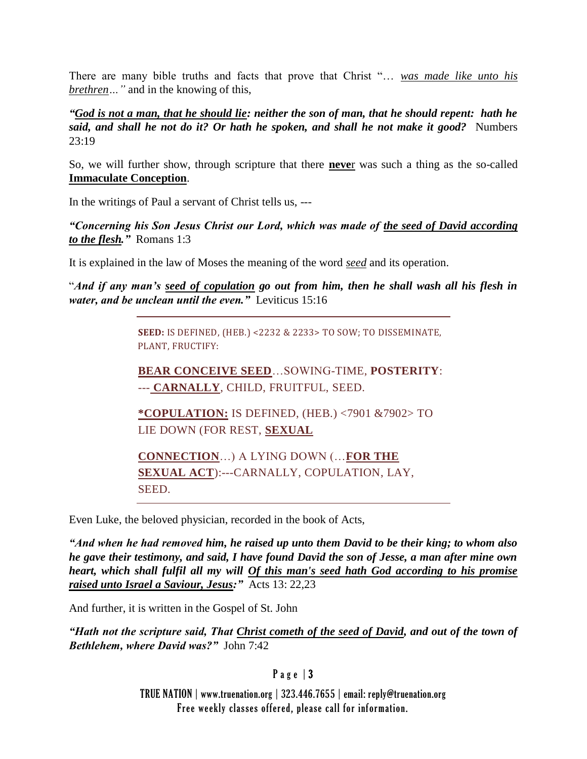There are many bible truths and facts that prove that Christ "… *was made like unto his brethren…"* and in the knowing of this,

*"God is not a man, that he should lie: neither the son of man, that he should repent: hath he said, and shall he not do it? Or hath he spoken, and shall he not make it good?* Numbers 23:19

So, we will further show, through scripture that there **neve**r was such a thing as the so-called **Immaculate Conception**.

In the writings of Paul a servant of Christ tells us, ---

*"Concerning his Son Jesus Christ our Lord, which was made of the seed of David according to the flesh."* Romans 1:3

It is explained in the law of Moses the meaning of the word *seed* and its operation.

"*And if any man's seed of copulation go out from him, then he shall wash all his flesh in water, and be unclean until the even."* Leviticus 15:16

> **SEED:** IS DEFINED, (HEB.) <2232 & 2233> TO SOW; TO DISSEMINATE, PLANT, FRUCTIFY:

> **BEAR CONCEIVE SEED**…SOWING-TIME, **POSTERITY**: --- **CARNALLY**, CHILD, FRUITFUL, SEED.

**\*COPULATION:** IS DEFINED, (HEB.) <7901 &7902> TO LIE DOWN (FOR REST, **SEXUAL**

**CONNECTION**…) A LYING DOWN (…**FOR THE SEXUAL ACT**):---CARNALLY, COPULATION, LAY, SEED.

Even Luke, the beloved physician, recorded in the book of Acts,

*"And when he had removed him, he raised up unto them David to be their king; to whom also he gave their testimony, and said, I have found David the son of Jesse, a man after mine own heart, which shall fulfil all my will Of this man's seed hath God according to his promise raised unto Israel a Saviour, Jesus:"* Acts 13: 22,23

And further, it is written in the Gospel of St. John

*"Hath not the scripture said, That Christ cometh of the seed of David, and out of the town of Bethlehem, where David was?"* John 7:42

P a g e | 3

TRUE NATION | www.truenation.org | 323.446.7655 | email: reply@truenation.org Free weekly classes offered, please call for information.